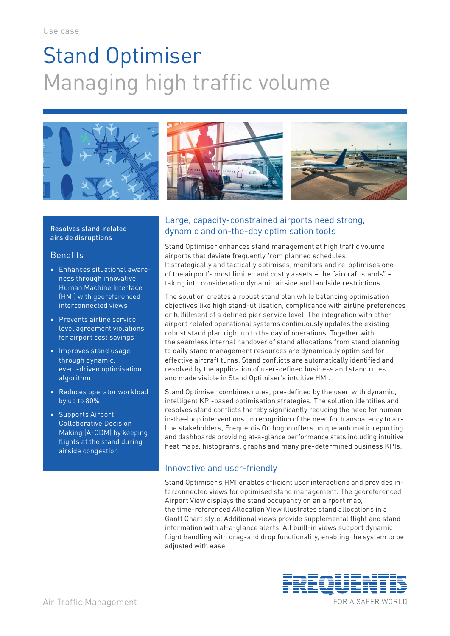# Stand Optimiser Managing high traffic volume







## Resolves stand-related airside disruptions

## **Benefits**

- Enhances situational awareness through innovative Human Machine Interface (HMI) with georeferenced interconnected views
- Prevents airline service level agreement violations for airport cost savings
- Improves stand usage through dynamic, event-driven optimisation algorithm
- Reduces operator workload by up to 80%
- Supports Airport Collaborative Decision Making (A-CDM) by keeping flights at the stand during airside congestion

## Large, capacity-constrained airports need strong, dynamic and on-the-day optimisation tools

Stand Optimiser enhances stand management at high traffic volume airports that deviate frequently from planned schedules. It strategically and tactically optimises, monitors and re-optimises one of the airport's most limited and costly assets – the "aircraft stands" – taking into consideration dynamic airside and landside restrictions.

The solution creates a robust stand plan while balancing optimisation objectives like high stand-utilisation, complicance with airline preferences or fulfillment of a defined pier service level. The integration with other airport related operational systems continuously updates the existing robust stand plan right up to the day of operations. Together with the seamless internal handover of stand allocations from stand planning to daily stand management resources are dynamically optimised for effective aircraft turns. Stand conflicts are automatically identified and resolved by the application of user-defined business and stand rules and made visible in Stand Optimiser's intuitive HMI.

Stand Optimiser combines rules, pre-defined by the user, with dynamic, intelligent KPI-based optimisation strategies. The solution identifies and resolves stand conflicts thereby significantly reducing the need for humanin-the-loop interventions. In recognition of the need for transparency to airline stakeholders, Frequentis Orthogon offers unique automatic reporting and dashboards providing at-a-glance performance stats including intuitive heat maps, histograms, graphs and many pre-determined business KPIs.

## Innovative and user-friendly

Stand Optimiser's HMI enables efficient user interactions and provides interconnected views for optimised stand management. The georeferenced Airport View displays the stand occupancy on an airport map, the time-referenced Allocation View illustrates stand allocations in a Gantt Chart style. Additional views provide supplemental flight and stand information with at-a-glance alerts. All built-in views support dynamic flight handling with drag-and drop functionality, enabling the system to be adjusted with ease.